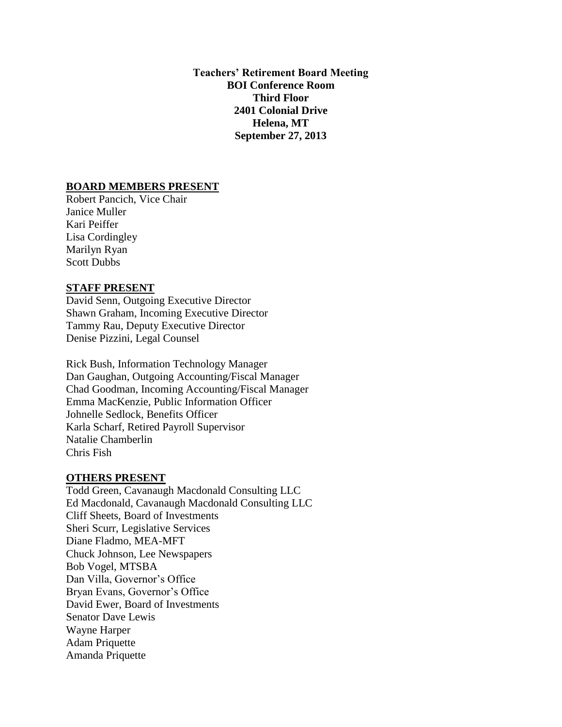**Teachers' Retirement Board Meeting BOI Conference Room Third Floor 2401 Colonial Drive Helena, MT September 27, 2013**

### **BOARD MEMBERS PRESENT**

Robert Pancich, Vice Chair Janice Muller Kari Peiffer Lisa Cordingley Marilyn Ryan Scott Dubbs

# **STAFF PRESENT**

David Senn, Outgoing Executive Director Shawn Graham, Incoming Executive Director Tammy Rau, Deputy Executive Director Denise Pizzini, Legal Counsel

Rick Bush, Information Technology Manager Dan Gaughan, Outgoing Accounting/Fiscal Manager Chad Goodman, Incoming Accounting/Fiscal Manager Emma MacKenzie, Public Information Officer Johnelle Sedlock, Benefits Officer Karla Scharf, Retired Payroll Supervisor Natalie Chamberlin Chris Fish

#### **OTHERS PRESENT**

Todd Green, Cavanaugh Macdonald Consulting LLC Ed Macdonald, Cavanaugh Macdonald Consulting LLC Cliff Sheets, Board of Investments Sheri Scurr, Legislative Services Diane Fladmo, MEA-MFT Chuck Johnson, Lee Newspapers Bob Vogel, MTSBA Dan Villa, Governor's Office Bryan Evans, Governor's Office David Ewer, Board of Investments Senator Dave Lewis Wayne Harper Adam Priquette Amanda Priquette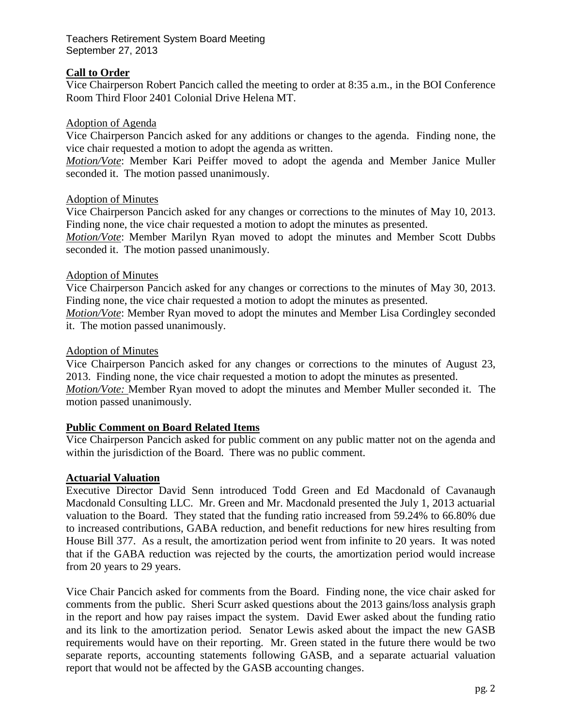# **Call to Order**

Vice Chairperson Robert Pancich called the meeting to order at 8:35 a.m., in the BOI Conference Room Third Floor 2401 Colonial Drive Helena MT.

## Adoption of Agenda

Vice Chairperson Pancich asked for any additions or changes to the agenda. Finding none, the vice chair requested a motion to adopt the agenda as written.

*Motion/Vote*: Member Kari Peiffer moved to adopt the agenda and Member Janice Muller seconded it. The motion passed unanimously.

## Adoption of Minutes

Vice Chairperson Pancich asked for any changes or corrections to the minutes of May 10, 2013. Finding none, the vice chair requested a motion to adopt the minutes as presented.

*Motion/Vote*: Member Marilyn Ryan moved to adopt the minutes and Member Scott Dubbs seconded it. The motion passed unanimously.

## Adoption of Minutes

Vice Chairperson Pancich asked for any changes or corrections to the minutes of May 30, 2013. Finding none, the vice chair requested a motion to adopt the minutes as presented.

*Motion/Vote*: Member Ryan moved to adopt the minutes and Member Lisa Cordingley seconded it. The motion passed unanimously.

## Adoption of Minutes

Vice Chairperson Pancich asked for any changes or corrections to the minutes of August 23, 2013. Finding none, the vice chair requested a motion to adopt the minutes as presented. *Motion/Vote:* Member Ryan moved to adopt the minutes and Member Muller seconded it. The motion passed unanimously.

## **Public Comment on Board Related Items**

Vice Chairperson Pancich asked for public comment on any public matter not on the agenda and within the jurisdiction of the Board. There was no public comment.

## **Actuarial Valuation**

Executive Director David Senn introduced Todd Green and Ed Macdonald of Cavanaugh Macdonald Consulting LLC. Mr. Green and Mr. Macdonald presented the July 1, 2013 actuarial valuation to the Board. They stated that the funding ratio increased from 59.24% to 66.80% due to increased contributions, GABA reduction, and benefit reductions for new hires resulting from House Bill 377. As a result, the amortization period went from infinite to 20 years. It was noted that if the GABA reduction was rejected by the courts, the amortization period would increase from 20 years to 29 years.

Vice Chair Pancich asked for comments from the Board. Finding none, the vice chair asked for comments from the public. Sheri Scurr asked questions about the 2013 gains/loss analysis graph in the report and how pay raises impact the system. David Ewer asked about the funding ratio and its link to the amortization period. Senator Lewis asked about the impact the new GASB requirements would have on their reporting. Mr. Green stated in the future there would be two separate reports, accounting statements following GASB, and a separate actuarial valuation report that would not be affected by the GASB accounting changes.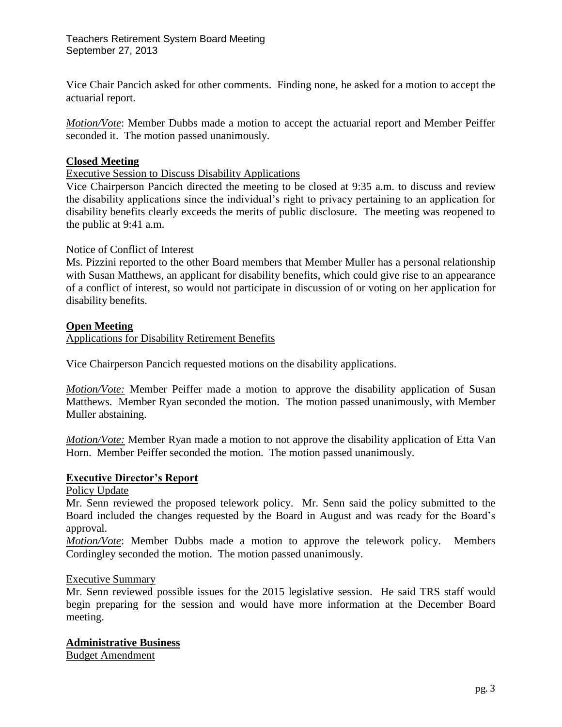Vice Chair Pancich asked for other comments. Finding none, he asked for a motion to accept the actuarial report.

*Motion/Vote*: Member Dubbs made a motion to accept the actuarial report and Member Peiffer seconded it. The motion passed unanimously.

# **Closed Meeting**

Executive Session to Discuss Disability Applications

Vice Chairperson Pancich directed the meeting to be closed at 9:35 a.m. to discuss and review the disability applications since the individual's right to privacy pertaining to an application for disability benefits clearly exceeds the merits of public disclosure. The meeting was reopened to the public at 9:41 a.m.

## Notice of Conflict of Interest

Ms. Pizzini reported to the other Board members that Member Muller has a personal relationship with Susan Matthews, an applicant for disability benefits, which could give rise to an appearance of a conflict of interest, so would not participate in discussion of or voting on her application for disability benefits.

## **Open Meeting**

Applications for Disability Retirement Benefits

Vice Chairperson Pancich requested motions on the disability applications.

*Motion/Vote:* Member Peiffer made a motion to approve the disability application of Susan Matthews. Member Ryan seconded the motion. The motion passed unanimously, with Member Muller abstaining.

*Motion/Vote:* Member Ryan made a motion to not approve the disability application of Etta Van Horn. Member Peiffer seconded the motion. The motion passed unanimously.

## **Executive Director's Report**

Policy Update

Mr. Senn reviewed the proposed telework policy. Mr. Senn said the policy submitted to the Board included the changes requested by the Board in August and was ready for the Board's approval.

*Motion/Vote*: Member Dubbs made a motion to approve the telework policy. Members Cordingley seconded the motion. The motion passed unanimously.

## Executive Summary

Mr. Senn reviewed possible issues for the 2015 legislative session. He said TRS staff would begin preparing for the session and would have more information at the December Board meeting.

# **Administrative Business**

Budget Amendment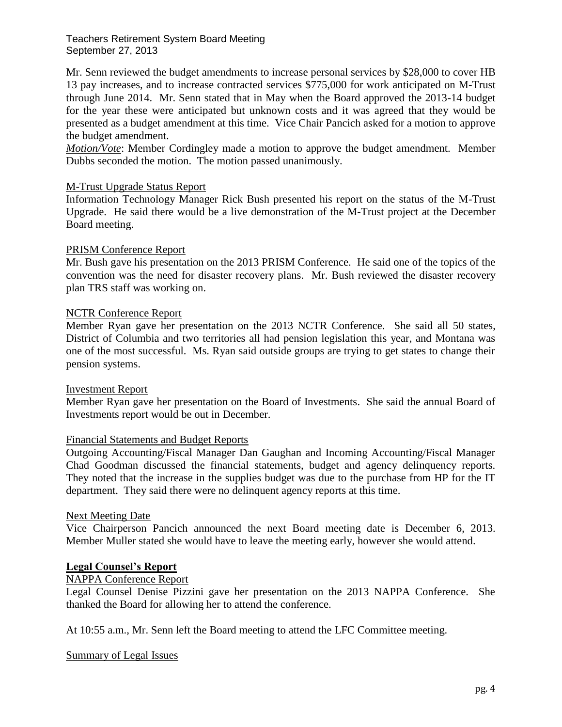Mr. Senn reviewed the budget amendments to increase personal services by \$28,000 to cover HB 13 pay increases, and to increase contracted services \$775,000 for work anticipated on M-Trust through June 2014. Mr. Senn stated that in May when the Board approved the 2013-14 budget for the year these were anticipated but unknown costs and it was agreed that they would be presented as a budget amendment at this time. Vice Chair Pancich asked for a motion to approve the budget amendment.

*Motion/Vote*: Member Cordingley made a motion to approve the budget amendment. Member Dubbs seconded the motion. The motion passed unanimously.

## M-Trust Upgrade Status Report

Information Technology Manager Rick Bush presented his report on the status of the M-Trust Upgrade. He said there would be a live demonstration of the M-Trust project at the December Board meeting.

## PRISM Conference Report

Mr. Bush gave his presentation on the 2013 PRISM Conference. He said one of the topics of the convention was the need for disaster recovery plans. Mr. Bush reviewed the disaster recovery plan TRS staff was working on.

## NCTR Conference Report

Member Ryan gave her presentation on the 2013 NCTR Conference. She said all 50 states, District of Columbia and two territories all had pension legislation this year, and Montana was one of the most successful. Ms. Ryan said outside groups are trying to get states to change their pension systems.

### Investment Report

Member Ryan gave her presentation on the Board of Investments. She said the annual Board of Investments report would be out in December.

### Financial Statements and Budget Reports

Outgoing Accounting/Fiscal Manager Dan Gaughan and Incoming Accounting/Fiscal Manager Chad Goodman discussed the financial statements, budget and agency delinquency reports. They noted that the increase in the supplies budget was due to the purchase from HP for the IT department. They said there were no delinquent agency reports at this time.

### Next Meeting Date

Vice Chairperson Pancich announced the next Board meeting date is December 6, 2013. Member Muller stated she would have to leave the meeting early, however she would attend.

### **Legal Counsel's Report**

## NAPPA Conference Report

Legal Counsel Denise Pizzini gave her presentation on the 2013 NAPPA Conference. She thanked the Board for allowing her to attend the conference.

At 10:55 a.m., Mr. Senn left the Board meeting to attend the LFC Committee meeting.

### Summary of Legal Issues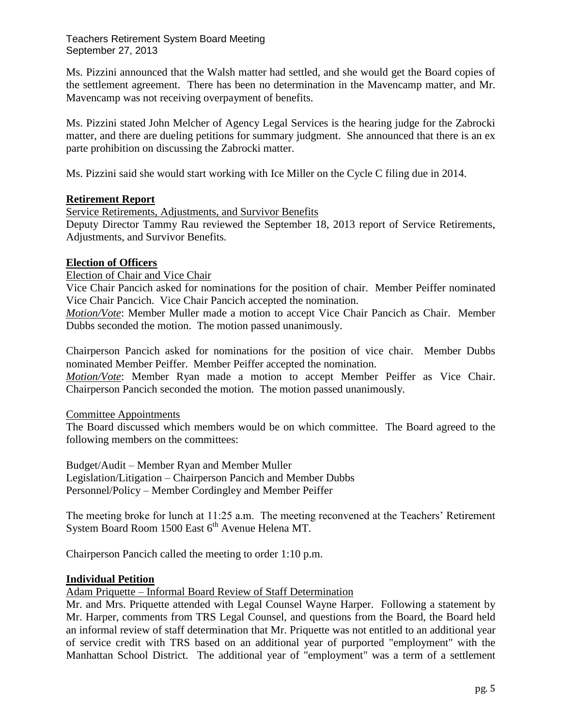Ms. Pizzini announced that the Walsh matter had settled, and she would get the Board copies of the settlement agreement. There has been no determination in the Mavencamp matter, and Mr. Mavencamp was not receiving overpayment of benefits.

Ms. Pizzini stated John Melcher of Agency Legal Services is the hearing judge for the Zabrocki matter, and there are dueling petitions for summary judgment. She announced that there is an ex parte prohibition on discussing the Zabrocki matter.

Ms. Pizzini said she would start working with Ice Miller on the Cycle C filing due in 2014.

# **Retirement Report**

Service Retirements, Adjustments, and Survivor Benefits

Deputy Director Tammy Rau reviewed the September 18, 2013 report of Service Retirements, Adjustments, and Survivor Benefits.

# **Election of Officers**

Election of Chair and Vice Chair

Vice Chair Pancich asked for nominations for the position of chair. Member Peiffer nominated Vice Chair Pancich. Vice Chair Pancich accepted the nomination.

*Motion/Vote*: Member Muller made a motion to accept Vice Chair Pancich as Chair. Member Dubbs seconded the motion. The motion passed unanimously.

Chairperson Pancich asked for nominations for the position of vice chair. Member Dubbs nominated Member Peiffer. Member Peiffer accepted the nomination.

*Motion/Vote*: Member Ryan made a motion to accept Member Peiffer as Vice Chair. Chairperson Pancich seconded the motion. The motion passed unanimously.

Committee Appointments

The Board discussed which members would be on which committee. The Board agreed to the following members on the committees:

Budget/Audit – Member Ryan and Member Muller Legislation/Litigation – Chairperson Pancich and Member Dubbs Personnel/Policy – Member Cordingley and Member Peiffer

The meeting broke for lunch at 11:25 a.m. The meeting reconvened at the Teachers' Retirement System Board Room 1500 East  $6<sup>th</sup>$  Avenue Helena MT.

Chairperson Pancich called the meeting to order 1:10 p.m.

# **Individual Petition**

Adam Priquette – Informal Board Review of Staff Determination

Mr. and Mrs. Priquette attended with Legal Counsel Wayne Harper. Following a statement by Mr. Harper, comments from TRS Legal Counsel, and questions from the Board, the Board held an informal review of staff determination that Mr. Priquette was not entitled to an additional year of service credit with TRS based on an additional year of purported "employment" with the Manhattan School District. The additional year of "employment" was a term of a settlement